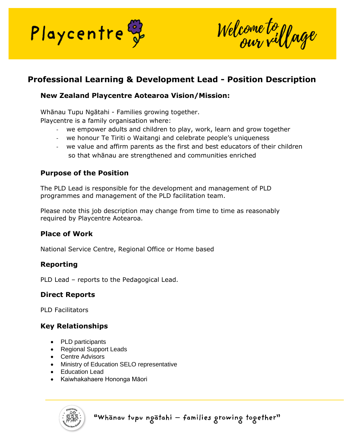

Welcome to yage

# **Professional Learning & Development Lead - Position Description**

### **New Zealand Playcentre Aotearoa Vision/Mission:**

Whānau Tupu Ngātahi - Families growing together.

Playcentre is a family organisation where:

- we empower adults and children to play, work, learn and grow together
- we honour Te Tiriti o Waitangi and celebrate people's uniqueness
- we value and affirm parents as the first and best educators of their children so that whānau are strengthened and communities enriched

#### **Purpose of the Position**

The PLD Lead is responsible for the development and management of PLD programmes and management of the PLD facilitation team.

Please note this job description may change from time to time as reasonably required by Playcentre Aotearoa.

#### **Place of Work**

National Service Centre, Regional Office or Home based

#### **Reporting**

PLD Lead – reports to the Pedagogical Lead.

## **Direct Reports**

PLD Facilitators

#### **Key Relationships**

- PLD participants
- Regional Support Leads
- Centre Advisors
- Ministry of Education SELO representative
- Education Lead
- Kaiwhakahaere Hononga Māori

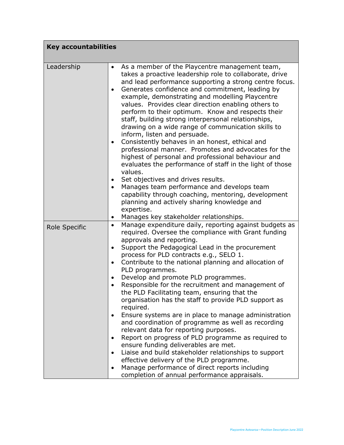| <b>Key accountabilities</b> |                                                                                                                                                                                                                                                                                                                                                                                                                                                                                                                                                                                                                                                                                                                                                                                                                                                                                                                                                                                                                                                                                                                       |
|-----------------------------|-----------------------------------------------------------------------------------------------------------------------------------------------------------------------------------------------------------------------------------------------------------------------------------------------------------------------------------------------------------------------------------------------------------------------------------------------------------------------------------------------------------------------------------------------------------------------------------------------------------------------------------------------------------------------------------------------------------------------------------------------------------------------------------------------------------------------------------------------------------------------------------------------------------------------------------------------------------------------------------------------------------------------------------------------------------------------------------------------------------------------|
| Leadership                  | As a member of the Playcentre management team,<br>$\bullet$<br>takes a proactive leadership role to collaborate, drive<br>and lead performance supporting a strong centre focus.<br>Generates confidence and commitment, leading by<br>$\bullet$<br>example, demonstrating and modelling Playcentre<br>values. Provides clear direction enabling others to<br>perform to their optimum. Know and respects their<br>staff, building strong interpersonal relationships,<br>drawing on a wide range of communication skills to<br>inform, listen and persuade.<br>Consistently behaves in an honest, ethical and<br>$\bullet$<br>professional manner. Promotes and advocates for the<br>highest of personal and professional behaviour and<br>evaluates the performance of staff in the light of those<br>values.                                                                                                                                                                                                                                                                                                       |
|                             | Set objectives and drives results.<br>$\bullet$<br>Manages team performance and develops team<br>capability through coaching, mentoring, development<br>planning and actively sharing knowledge and<br>expertise.                                                                                                                                                                                                                                                                                                                                                                                                                                                                                                                                                                                                                                                                                                                                                                                                                                                                                                     |
| Role Specific               | Manages key stakeholder relationships.<br>٠<br>Manage expenditure daily, reporting against budgets as<br>$\bullet$<br>required. Oversee the compliance with Grant funding<br>approvals and reporting.<br>Support the Pedagogical Lead in the procurement<br>$\bullet$<br>process for PLD contracts e.g., SELO 1.<br>Contribute to the national planning and allocation of<br>$\bullet$<br>PLD programmes.<br>Develop and promote PLD programmes.<br>$\bullet$<br>Responsible for the recruitment and management of<br>the PLD Facilitating team, ensuring that the<br>organisation has the staff to provide PLD support as<br>required.<br>Ensure systems are in place to manage administration<br>and coordination of programme as well as recording<br>relevant data for reporting purposes.<br>Report on progress of PLD programme as required to<br>ensure funding deliverables are met.<br>Liaise and build stakeholder relationships to support<br>$\bullet$<br>effective delivery of the PLD programme.<br>Manage performance of direct reports including<br>٠<br>completion of annual performance appraisals. |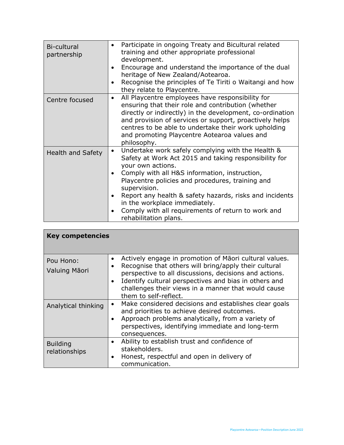| Bi-cultural<br>partnership | Participate in ongoing Treaty and Bicultural related<br>٠<br>training and other appropriate professional<br>development.<br>Encourage and understand the importance of the dual<br>$\bullet$<br>heritage of New Zealand/Aotearoa.<br>Recognise the principles of Te Tiriti o Waitangi and how<br>$\bullet$<br>they relate to Playcentre.                                                                                                                               |
|----------------------------|------------------------------------------------------------------------------------------------------------------------------------------------------------------------------------------------------------------------------------------------------------------------------------------------------------------------------------------------------------------------------------------------------------------------------------------------------------------------|
| Centre focused             | All Playcentre employees have responsibility for<br>$\bullet$<br>ensuring that their role and contribution (whether<br>directly or indirectly) in the development, co-ordination<br>and provision of services or support, proactively helps<br>centres to be able to undertake their work upholding<br>and promoting Playcentre Aotearoa values and<br>philosophy.                                                                                                     |
| <b>Health and Safety</b>   | Undertake work safely complying with the Health &<br>$\bullet$<br>Safety at Work Act 2015 and taking responsibility for<br>your own actions.<br>Comply with all H&S information, instruction,<br>$\bullet$<br>Playcentre policies and procedures, training and<br>supervision.<br>Report any health & safety hazards, risks and incidents<br>$\bullet$<br>in the workplace immediately.<br>Comply with all requirements of return to work and<br>rehabilitation plans. |

| <b>Key competencies</b>          |                                                                                                                                                                                                                                                                                                                                                   |  |
|----------------------------------|---------------------------------------------------------------------------------------------------------------------------------------------------------------------------------------------------------------------------------------------------------------------------------------------------------------------------------------------------|--|
| Pou Hono:<br>Valuing Māori       | Actively engage in promotion of Maori cultural values.<br>٠<br>Recognise that others will bring/apply their cultural<br>$\bullet$<br>perspective to all discussions, decisions and actions.<br>Identify cultural perspectives and bias in others and<br>$\bullet$<br>challenges their views in a manner that would cause<br>them to self-reflect. |  |
| Analytical thinking              | Make considered decisions and establishes clear goals<br>$\bullet$<br>and priorities to achieve desired outcomes.<br>Approach problems analytically, from a variety of<br>perspectives, identifying immediate and long-term<br>consequences.                                                                                                      |  |
| <b>Building</b><br>relationships | Ability to establish trust and confidence of<br>٠<br>stakeholders.<br>Honest, respectful and open in delivery of<br>$\bullet$<br>communication.                                                                                                                                                                                                   |  |